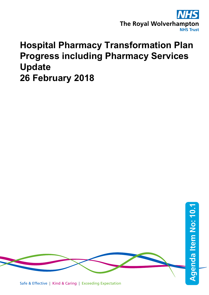

# **Hospital Pharmacy Transformation Plan Progress including Pharmacy Services Update 26 February 2018**

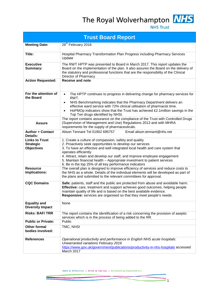The Royal Wolverhampton NHS



**NHS Trust** 

| <b>Trust Board Report</b>                                      |                                                                                                                                                                                                                                                                                                                                                                                                                                                 |  |  |  |  |  |  |  |  |
|----------------------------------------------------------------|-------------------------------------------------------------------------------------------------------------------------------------------------------------------------------------------------------------------------------------------------------------------------------------------------------------------------------------------------------------------------------------------------------------------------------------------------|--|--|--|--|--|--|--|--|
| <b>Meeting Date:</b>                                           | 26 <sup>th</sup> February 2018                                                                                                                                                                                                                                                                                                                                                                                                                  |  |  |  |  |  |  |  |  |
| Title:                                                         | Hospital Pharmacy Transformation Plan Progress including Pharmacy Services<br>Update                                                                                                                                                                                                                                                                                                                                                            |  |  |  |  |  |  |  |  |
| <b>Executive</b><br>Summary:                                   | The RWT HPTP was presented to Board in March 2017. This report updates the<br>Board on the implementation of the plan. It also assures the Board on the delivery of<br>the statutory and professional functions that are the responsibility of the Clinical<br>Director of Pharmacy                                                                                                                                                             |  |  |  |  |  |  |  |  |
| <b>Action Requested:</b>                                       | <b>Receive and note</b>                                                                                                                                                                                                                                                                                                                                                                                                                         |  |  |  |  |  |  |  |  |
| For the attention of<br>the Board                              | The HPTP continues to progress in delivering change for pharmacy services for<br>$\bullet$<br>RWT.<br>NHS Benchmarking indicates that the Pharmacy Department delivers an<br>$\bullet$<br>effective ward service with 72% clinical utilisation of pharmacist time.<br>HoPMOp indicators show that the Trust has achieved £2.1 million savings in the<br>Top Ten drugs identified by NHSI.                                                       |  |  |  |  |  |  |  |  |
| <b>Assure</b>                                                  | The report contains assurance on the compliance of the Trust with Controlled Drugs<br>(Supervision of Management and Use) Regulations 2013 and with MHRA<br>requirements for the supply of pharmaceuticals.                                                                                                                                                                                                                                     |  |  |  |  |  |  |  |  |
| <b>Author + Contact</b><br>Details:                            | Alison Tennant Tel 01902 695757<br>Email alison.tennant@nhs.net                                                                                                                                                                                                                                                                                                                                                                                 |  |  |  |  |  |  |  |  |
| <b>Links to Trust</b><br><b>Strategic</b><br><b>Objectives</b> | 1. Create a culture of compassion, safety and quality<br>2. Proactively seek opportunities to develop our services<br>3. To have an effective and well integrated local health and care system that<br>operates efficiently<br>4. Attract, retain and develop our staff, and improve employee engagement<br>5. Maintain financial health – Appropriate investment to patient services<br>6. Be in the top 25% of all key performance indicators |  |  |  |  |  |  |  |  |
| <b>Resource</b><br>Implications:                               | The overall plan is designed to improve efficiency of services and reduce costs to<br>the NHS as a whole. Details of the individual elements will be developed as part of<br>the plans and submitted to the relevant committees for approval.                                                                                                                                                                                                   |  |  |  |  |  |  |  |  |
| <b>CQC Domains</b>                                             | Safe: patients, staff and the public are protected from abuse and avoidable harm.<br>Effective: care, treatment and support achieves good outcomes, helping people<br>maintain quality of life and is based on the best available evidence.<br>Responsive: services are organised so that they meet people's needs.                                                                                                                             |  |  |  |  |  |  |  |  |
| <b>Equality and</b><br><b>Diversity Impact</b>                 | None                                                                                                                                                                                                                                                                                                                                                                                                                                            |  |  |  |  |  |  |  |  |
| <b>Risks: BAF/TRR</b>                                          | The report contains the identification of a risk concerning the provision of aseptic<br>services which is in the process of being added to the RR.                                                                                                                                                                                                                                                                                              |  |  |  |  |  |  |  |  |
| <b>Public or Private:</b>                                      | Public                                                                                                                                                                                                                                                                                                                                                                                                                                          |  |  |  |  |  |  |  |  |
| <b>Other formal</b><br>bodies involved:                        | TMC, NHSI                                                                                                                                                                                                                                                                                                                                                                                                                                       |  |  |  |  |  |  |  |  |
| <b>References</b>                                              | Operational productivity and performance in English NHS acute hospitals:<br>Unwarranted variations February 2016<br>https://www.gov.uk/government/publications/productivity-in-nhs-hospitals accessed<br>March 2017                                                                                                                                                                                                                             |  |  |  |  |  |  |  |  |

Safe & Effective | Kind & Caring | Exceeding Expectation

 $\mathsf{F}_1$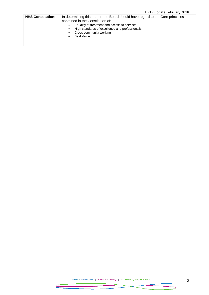## HPTP update February 2018

| <b>NHS Constitution:</b> | In determining this matter, the Board should have regard to the Core principles<br>contained in the Constitution of:<br>Equality of treatment and access to services<br>٠<br>High standards of excellence and professionalism<br>$\bullet$<br>Cross community working<br>٠<br><b>Best Value</b><br>٠ |
|--------------------------|------------------------------------------------------------------------------------------------------------------------------------------------------------------------------------------------------------------------------------------------------------------------------------------------------|
|--------------------------|------------------------------------------------------------------------------------------------------------------------------------------------------------------------------------------------------------------------------------------------------------------------------------------------------|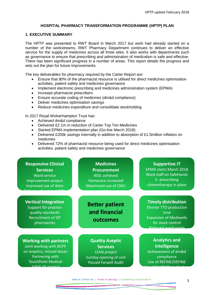#### **HOSPITAL PHARMACY TRANSFORMATION PROGRAMME (HPTP) PLAN**

#### **1. EXECUTIVE SUMMARY**

The HPTP was presented to RWT Board in March 2017 but work had already started on a number of the workstreams. RWT Pharmacy Department continues to deliver an effective service for the supply of medicines across all three sites. It also works with departments such as governance to ensure that prescribing and administration of medication is safe and effective. There has been significant progress in a number of areas. This report details the progress and sets out the plan for future improvements.

The key deliverables for pharmacy required by the Carter Report are:

- Ensure that 80% of the pharmacist resource is utilised for direct medicines optimisation activities, patient safety and medicines governance
- Implement electronic prescribing and medicines administration system (EPMA)
- Increase pharmacist prescribers
- Ensure accurate coding of medicines (dm&d compliance)
- Deliver medicines optimisation savings
- Reduce medicines expenditure and consolidate stockholding

In 2017 Royal Wolverhampton Trust has:

• Achieved dm&d compliance

**2. TouchPoint Medical** 

Partnering with

AHCN AF project

- Delivered £2.1m in reduction of Carter Top Ten Medicines
- Started EPMA implementation plan (Go-live March 2018)
- Delivered £200k savings internally in addition to absorption of £1.5million inflation on medicines
- Delivered 72% of pharmacist resource being used for direct medicines optimisation activities, patient safety and medicines governance

| <b>Responsive Clinical</b>                                                                                          | <b>Medicines</b>                                   | <b>Supportive IT</b>                                                                                                                     |
|---------------------------------------------------------------------------------------------------------------------|----------------------------------------------------|------------------------------------------------------------------------------------------------------------------------------------------|
| <b>Services</b>                                                                                                     | <b>Procurement</b>                                 | <b>EPMA starts March 2018</b>                                                                                                            |
| <b>Ward service</b>                                                                                                 | <b>WDL</b> achieved                                | Ward staff on SafeHands                                                                                                                  |
| improvement project                                                                                                 | Homecare increased                                 | E- prescribing                                                                                                                           |
| Improved use of datix                                                                                               | Maximised use of CMU                               | chemotherapy in place                                                                                                                    |
| <b>Vertical Integration</b><br>Support for practice<br>quality standards<br><b>Recruitment of GP</b><br>pharmacists | <b>Better patient</b><br>and financial<br>outcomes | <b>Timely distribution</b><br>Shorter TTO production<br>time<br><b>Expansion of Mediwells</b><br>for stock control<br>Doduced word worte |
| <b>Working with partners</b>                                                                                        | <b>Quality Aseptic</b>                             | <b>Analytics and</b>                                                                                                                     |
| Joint working with BCPP                                                                                             | <b>Services</b>                                    | Intelligence                                                                                                                             |
| on aseptics, missed doses                                                                                           | <b>LEAN</b> project                                | Achievement of dm&d                                                                                                                      |

Sunday opening of unit Passed Farwell Audit

compliance Use of REFINE/DEFINE Use of HoPMOp indicators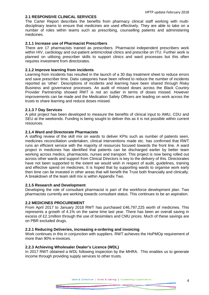#### **2.1 RESPONSIVE CLINICAL SERVICES**

The Carter Report describes the benefits from pharmacy clinical staff working with multidisciplinary teams to ensure that medicines are used effectively. They are able to take on a number of roles within teams such as prescribing, counselling patients and administering medicines.

#### **2.1.1 Increase use of Pharmacist Prescribers**

There are 17 pharmacists trained as prescribers. Pharmacist independent prescribers work within HIV, cardiology and out-patient antimicrobial clinics and prescribe on ITU. Further work is planned on utilising prescriber skills to support clinics and ward processes but this often requires investment from directorates.

#### **2.1.2 Improve learning from incidents**

Learning from incidents has resulted in the launch of a 30 day treatment sheet to reduce errors and save prescriber time. Datix categories have been refined to reduce the number of incidents reported as 'other'. Descriptions of incidents and learning have been shared through Risky Business and governance processes. An audit of missed doses across the Black Country Provider Partnership showed RWT is not an outlier in terms of doses missed. However improvements can be made and the Medication Safety Officers are leading on work across the trusts to share learning and reduce doses missed.

#### **2.1.3 7 Day Services**

A pilot project has been developed to measure the benefits of clinical input to AMU, CDU and SEU at the weekends. Funding is being sought to deliver this as it is not possible within current resources.

#### **2.1.4 Ward and Directorate Pharmacists**

A staffing review of the skill mix on wards to deliver KPIs such as number of patients seen, medicines reconciliation undertaken, clinical interventions made etc. has confirmed that RWT runs an efficient service with the majority of resources focused towards the front line. A ward project in medicines has identified that patients can be discharged earlier by better team working across medics, pharmacists, nurses and transport. This project is now being rolled out across other wards and support from Clinical Directors is key to the delivery of this. Directorates have not been supported to the extent we would wish in respect of audit, guidelines, training and effective spend on medicines. It is hoped that by supporting wards to organise work early then time can be invested in other areas that will benefit the Trust both financially and clinically. A breakdown of the team skill mix is within Appendix Two.

#### **2.1.5 Research and Development**

Developing the role of consultant pharmacist is part of the workforce development plan. Two pharmacists currently are working towards consultant status. This continues to be an aspiration.

#### **2.2 MEDICINES PROCUREMENT**

From April 2017 to January 2018 RWT has purchased £46,797,225 worth of medicines. This represents a growth of 4.1% on the same time last year. There has been an overall saving in excess of £2.1million through the use of biosimilars and CMU prices. Much of these savings are on PBR excluded drugs.

#### **2.2.1 Reducing Deliveries, increasing e-ordering and invoicing**

Work continues in this in conjunction with suppliers. RWT achieves the HoPMOp requirement of more than 90% e-invoices.

#### . **2.2.3 Achieving Wholesaler Dealer's Licence (WDL)**

In 2017 RWT obtained a WDL following inspection by the MHRA. This enables us to generate income through providing supply services to other trusts.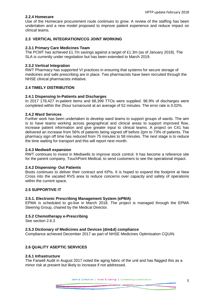#### **2.2.4 Homecare**

Use of the Homecare procurement route continues to grow. A review of the staffing has been undertaken and a new model proposed to improve patient experience and reduce impact on clinical teams.

#### **2.3 VERTICAL INTEGRATION/CCG JOINT WORKING**

#### **2.3.1 Primary Care Medicines Team**

The PCMT has achieved £1.7m savings against a target of £1.3m (as of January 2018). The SLA is currently under negotiation but has been extended to March 2019.

#### **2.3.2 Vertical Integration**

RWT Pharmacy has supported VI practices in ensuring that systems for secure storage of medicines and safe prescribing are in place. Two pharmacists have been recruited through the NHSE clinical pharmacists initiative.

#### **2.4 TIMELY DISTRIBUTION**

#### **2.4.1 Dispensing In-Patients and Discharges**

In 2017 178,427 in-patient items and 68,399 TTOs were supplied. 96.9% of discharges were completed within the 2hour turnaround at an average of 52 minutes. The error rate is 0.02%.

#### **2.4.2 Ward Services**

Further work has been undertaken to develop ward teams to support groups of wards. The aim is to have teams working across geographical and clinical areas to support improved flow, increase patient information and give greater input to clinical teams. A project on C41 has delivered an increase from 56% of patients being signed off before 2pm to 73% of patients. The pharmacy sign off time has reduced from 75 minutes to 58 minutes. The next stage is to reduce the time waiting for transport and this will report next month.

#### **2.4.3 Mediwell expansion**

RWT continues to invest in Mediwells to improve stock control. It has become a reference site for the parent company, TouchPoint Medical, to send customers to see the operational impact.

#### **2.4.2 Dispensing- Out Patients**

Boots continues to deliver their contract and KPIs. It is hoped to expand the footprint at New Cross into the vacated RVS area to reduce concerns over capacity and safety of operations within the current space.

#### **2.5 SUPPORTIVE IT**

#### **2.5.1. Electronic Prescribing Management System (ePMA)**

EPMA is scheduled to go-live in March 2018. The project is managed through the EPMA Steering Group, chaired by the Medical Director.

#### **2.5.2 Chemotherapy e-Prescribing**

See section 2.6.3

#### **2.5.3 Dictionary of Medicines and Devices (dm&d) compliance**

Compliance achieved December 2017 as part of NHSE Medicines Optimisation CQUIN.

#### **2.6 QUALITY ASEPTIC SERVICES**

#### **2.6.1 Infrastructure**

The Farwell Audit in August 2017 noted the aging fabric of the unit and has flagged this as a minor risk at present but likely to increase if not addressed.

Safe & Effective | Kind & Caring | Exceeding Expectation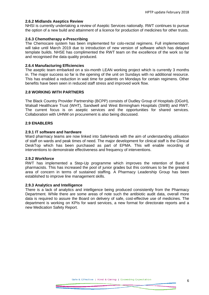#### **2.6.2 Midlands Aseptics Review**

NHSI is currently undertaking a review of Aseptic Services nationally. RWT continues to pursue the option of a new build and attainment of a licence for production of medicines for other trusts.

#### **2.6.3 Chemotherapy e-Prescribing**

The Chemocare system has been implemented for colo-rectal regimens. Full implementation will take until March 2019 due to introduction of new version of software which has delayed template builds. NHSE has complimented the RWT team on the excellence of the work so far and recognised the data quality produced.

#### **2.6.4 Manufacturing Efficiencies**

The aseptic team embarked on a six-month LEAN working project which is currently 3 months in. The major success so far is the opening of the unit on Sundays with no additional resource. This has enabled a reduction in wait time for patients on Mondays for certain regimens. Other benefits have been seen in reduced staff stress and improved work flow.

#### **2.8 WORKING WITH PARTNERS**

The Black Country Provider Partnership (BCPP) consists of Dudley Group of Hospitals (DGoH), Walsall Healthcare Trust (WHT), Sandwell and West Birmingham Hospitals (SWB) and RWT. The current focus is on aseptic services and the opportunities for shared services. Collaboration with UHNM on procurement is also being discussed.

#### **2.9 ENABLERS**

#### **2.9.1 IT software and hardware**

Ward pharmacy teams are now linked into SafeHands with the aim of understanding utilisation of staff on wards and peak times of need. The major development for clinical staff is the Clinical DeskTop which has been purchased as part of EPMA. This will enable recording of interventions to demonstrate effectiveness and frequency of interventions.

#### **2.9.2 Workforce**

RWT has implemented a Step-Up programme which improves the retention of Band 6 pharmacists. This has increased the pool of junior grades but this continues to be the greatest area of concern in terms of sustained staffing. A Pharmacy Leadership Group has been established to improve line management skills.

#### **2.9.3 Analytics and Intelligence**

There is a lack of analytics and intelligence being produced consistently from the Pharmacy Department. While there are some areas of note such the antibiotic audit data, overall more data is required to assure the Board on delivery of safe, cost-effective use of medicines. The department is working on KPIs for ward services, a new format for directorate reports and a new Medication Safety Report.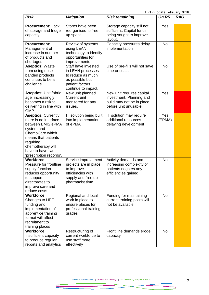HPTP update February 2018

| <b>Risk</b>                                                                                                                                                                                                        | <b>Mitigation</b>                                                                                                          | <b>Risk remaining</b>                                                                                       | <b>On RR</b>  | <b>RAG</b> |
|--------------------------------------------------------------------------------------------------------------------------------------------------------------------------------------------------------------------|----------------------------------------------------------------------------------------------------------------------------|-------------------------------------------------------------------------------------------------------------|---------------|------------|
| <b>Procurement: Lack</b><br>of storage and fridge<br>capacity                                                                                                                                                      | Stores have been<br>reorganised to free<br>up space.                                                                       | Storage capacity still not<br>sufficient. Capital funds<br>being sought to improve<br>layout.               | Yes           |            |
| <b>Procurement:</b><br>Management of<br>increase in number<br>of products and<br>shortages                                                                                                                         | Review of systems<br>using LEAN<br>technology to identify<br>opportunities for<br>improvements                             | Capacity pressures delay<br>implementation                                                                  | <b>No</b>     |            |
| <b>Aseptics: Waste</b><br>from using dose<br>banded products<br>continues to be a<br>challenge                                                                                                                     | Staff have invested<br>in LEAN processes<br>to reduce as much<br>as possible but<br>patient factors<br>continue to impact. | Use of pre-fills will not save<br>time or costs                                                             | <b>No</b>     |            |
| <b>Aseptics: Unit fabric</b><br>age increasingly<br>becomes a risk to<br>delivering in line with<br><b>GMP</b>                                                                                                     | New unit planned.<br>Current unit<br>monitored for any<br>issues.                                                          | New unit requires capital<br>investment. Planning and<br>build may not be in place<br>before unit unusable. | Yes           |            |
| <b>Aseptics: Currently,</b><br>there is no interface<br>between EMIS ePMA<br>system and<br>ChemoCare which<br>means that patients<br>requiring<br>chemotherapy will<br>have to have two<br>'prescription records'. | IT solution being built<br>into implementation<br>of ePMA                                                                  | IT solution may require<br>additional resources<br>delaying development                                     | Yes<br>(EPMA) |            |
| <b>Workforce:</b><br>Pressure for frontline<br>supply function<br>reduces opportunity<br>to support<br>directorates to<br>improve care and<br>reduce costs                                                         | Service improvement<br>projects are in place<br>to improve<br>efficiencies with<br>supply and free up<br>pharmacist time   | Activity demands and<br>increasing complexity of<br>patients negates any<br>efficiencies gained.            | <b>No</b>     |            |
| <b>Workforce:</b><br>Changes to HEE<br>funding and<br>implementation of<br>apprentice training<br>format will affect<br>recruitment to<br>training places                                                          | Regional and local<br>work in place to<br>ensure places for<br>professional training<br>grades                             | Funding for maintaining<br>current training posts will<br>not be available                                  | <b>No</b>     |            |
| <b>Workforce:</b><br>Insufficient capacity<br>to produce regular<br>reports and analytics                                                                                                                          | Restructuring of<br>current workforce to<br>use staff more<br>effectively                                                  | Front line demands erode<br>capacity                                                                        | <b>No</b>     |            |

⋝⋜

 $\Rightarrow$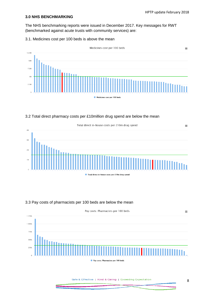#### **3.0 NHS BENCHMARKING**

The NHS benchmarking reports were issued in December 2017. Key messages for RWT (benchmarked against acute trusts with community services) are:

#### 3.1. Medicines cost per 100 beds is above the mean



#### 3.2 Total direct pharmacy costs per £10million drug spend are below the mean



### 3.3 Pay costs of pharmacists per 100 beds are below the mean



Safe & Effective | Kind & Caring | Exceeding Expectation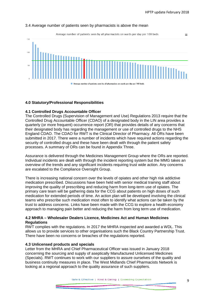$=$ 

#### 3.4 Average number of patients seen by pharmacists is above the mean

Average number of patients seen by all pharmacists on wards per day per 100 beds



#### **4.0 Statutory/Professional Responsibilities**

#### **4.1 Controlled Drugs Accountable Officer**

The Controlled Drugs (Supervision of Management and Use) Regulations 2013 require that the Controlled Drug Accountable Officer (CDAO) of a designated body in the LIN area provides a quarterly (or more frequent) occurrence report (OR) that provides details of any concerns that their designated body has regarding the management or use of controlled drugs to the NHS England CDAO. The CDAO for RWT is the Clinical Director of Pharmacy. All ORs have been submitted in 2017. There were a number of incidents which have required actions regarding the security of controlled drugs and these have been dealt with through the patient safety processes. A summary of ORs can be found in Appendix Three.

Assurance is delivered through the Medicines Management Group where the ORs are reported. Individual incidents are dealt with through the incident reporting system but the MMG takes an overview of the trends and any significant incidents requiring trust wide action. Any concerns are escalated to the Compliance Oversight Group.

There is increasing national concern over the levels of opiates and other high risk addictive medication prescribed. Discussions have been held with senior medical training staff about improving the quality of prescribing and reducing harm from long-term use of opiates. The primary care team will be gathering data for the CCG about patients on high doses of such medication for extended periods of time. An action plan will be developed involving the clinical teams who prescribe such medication most often to identify what actions can be taken by the trust to address concerns. Links have been made with the CCG to explore a health economy approach to managing pain better and reducing the harm from long term use of medication.

#### **4.2 MHRA – Wholesaler Dealers Licence, Medicines Act and Human Medicines Regulations**

RWT complies with the regulations. In 2017 the MHRA inspected and awarded a WDL. This allows us to provide services to other organisations such the Black Country Partnership Trust. There have been no concerns or breaches of the regulations reported.

#### **4.3 Unlicensed products and specials**

Letter from the MHRA and Chief Pharmaceutical Officer was issued in January 2018 concerning the sourcing and supply of aseptically Manufactured Unlicensed Medicines (Specials). RWT continues to work with our suppliers to assure ourselves of the quality and business continuity measures in place. The West Midlands Chief Pharmacists Network is looking at a regional approach to the quality assurance of such suppliers.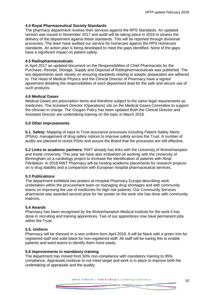#### **4.4 Royal Pharmaceutical Society Standards**

The pharmacy department reviews their services against the RPS Standards. An updated version was issued in November 2017 and audit will be taking place in 2018 to assess the delivery of the department against these standards. This will be reported through divisional processes. The team have audited our service for homecare against the RPS Homecare standards. An action plan is being developed to meet the gaps identified. None of the gaps have a significant impact on patient safety.

#### **4.5 Radiopharmaceuticals**

In April 2017 an updated document on the Responsibilities of Chief Pharmacists for the Purchase, Receipt, Storage, Supply and Disposal of Radiopharmaceuticals was published. The two departments work closely on ensuring standards relating to aseptic preparation are adhered to. The Head of Medical Physics and the Clinical Director of Pharmacy have a signed agreement detailing the responsibilities of each department lead for the safe and secure use of such products.

#### **4.6 Medical Gases**

Medical Gases are prescription items and therefore subject to the same legal requirements as medicines. The Assistant Director (Operations) sits on the Medical Gases Committee to support the clinician in charge. The Oxygen Policy has been updated Both the Clinical Director and Assistant Director are undertaking training on the topic in March 2018.

#### **5.0 Other Improvements**

**5.1**. **Safety:** Mapping of input to Trust assurance processes including Patient Safety Alerts (PSAs), management of drug safety notices to improve safety across the Trust. A number of audits are planned to revisit PSAs and assure the Board that the processes are still effective.

**5.2 Links to academic partners:** RWT already has links with the University of Wolverhampton and Keele University. This year we have also embarked on working with the University of Birmingham on a cardiology project to increase the identification of patients with Atrial Fibrillation. In 2018 RWT Pharmacy will be hosting academic placements for research projects on iv drug stability and a comparison with European hospital pharmaceutical services.

#### **5.3 Publications**

The department exhibited two posters at Hospital Pharmacy Europe describing work undertaken within the procurement team on managing drug shortages and with community teams on improving the use of medicines for high risk patients. Our Community Services pharmacist was awarded second prize for her poster on the work she has done with community matrons.

#### **5.4 Awards**

Pharmacy has been recognised by the Wolverhampton Medical Institute for the work it has done in recruiting and training apprentices. Two of our apprentices now have permanent jobs within the Trust.

#### **5.5. Uniform**

Pharmacy will be dressed in a new uniform form April 2018. It will be black with a green trim for registered staff and solid black for non-registered staff. All staff will be earing this to enable patients and ward teams to identify them more easily.

#### **5.6 Improvements in mandatory training**

The department has moved from 50% non-compliance with mandatory training to 95% compliance. Appraisals continue to not meet target and work is in place to improve both the undertaking of appraisals and the quality.

Safe & Effective | Kind & Caring | Exceeding Expectation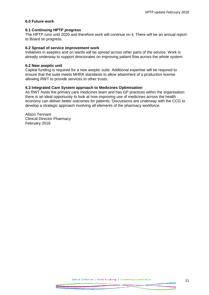#### **6.0 Future work**

#### **6.1 Continuing HPTP progress**

The HPTP runs until 2020 and therefore work will continue on it. There will be an annual report to Board on progress.

#### **6.2 Spread of service improvement work**

Initiatives in aseptics and on wards will be spread across other parts of the service. Work is already underway to support directorates on improving patient flow across the whole system.

#### **6.2 New aseptic unit**

Capital funding is required for a new aseptic suite. Additional expertise will be required to ensure that the suite meets MHRA standards to allow attainment of a production license allowing RWT to provide services to other trusts.

#### **6.3 Integrated Care System approach to Medicines Optimisation**

As RWT hosts the primary care medicines team and has GP practices within the organisation there is an ideal opportunity to look at how improving use of medicines across the health economy can deliver better outcomes for patients. Discussions are underway with the CCG to develop a strategic approach involving all elements of the pharmacy workforce.

Alison Tennant Clinical Director Pharmacy February 2018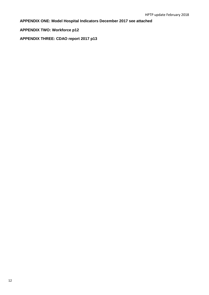**APPENDIX ONE: Model Hospital Indicators December 2017 see attached**

**APPENDIX TWO: Workforce p12**

**APPENDIX THREE: CDAO report 2017 p13**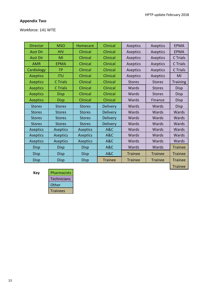# **Appendix Two**

# Workforce: 141 WTE

| <b>Director</b> | <b>MSO</b>      | Homecare        | Clinical        | Aseptics       | Aseptics       | <b>EPMA</b>     |
|-----------------|-----------------|-----------------|-----------------|----------------|----------------|-----------------|
| <b>Asst Dir</b> | <b>HIV</b>      | Clinical        | Clinical        | Aseptics       | Aseptics       | <b>EPMA</b>     |
| <b>Asst Dir</b> | MI              | Clinical        | Clinical        | Aseptics       | Aseptics       | C Trials        |
| <b>AMR</b>      | <b>EPMA</b>     | Clinical        | Clinical        | Aseptics       | Aseptics       | C Trials        |
| Cardiology      | <b>TP</b>       | Clinical        | Clinical        | Aseptics       | Aseptics       | C Trials        |
| <b>Aseptics</b> | <b>ITU</b>      | <b>Clinical</b> | Clinical        | Aseptics       | Aseptics       | MI              |
| <b>Aseptics</b> | C Trials        | Clinical        | Clinical        | <b>Stores</b>  | <b>Stores</b>  | <b>Training</b> |
| <b>Aseptics</b> | <b>C</b> Trials | Clinical        | Clinical        | Wards          | <b>Stores</b>  | Disp            |
| <b>Aseptics</b> | <b>Disp</b>     | Clinical        | Clinical        | Wards          | <b>Stores</b>  | <b>Disp</b>     |
| <b>Aseptics</b> | <b>Disp</b>     | Clinical        | Clinical        | Wards          | Finance        | <b>Disp</b>     |
| <b>Stores</b>   | <b>Stores</b>   | <b>Stores</b>   | <b>Delivery</b> | Wards          | Wards          | Disp            |
| <b>Stores</b>   | <b>Stores</b>   | <b>Stores</b>   | <b>Delivery</b> | Wards          | Wards          | <b>Wards</b>    |
| <b>Stores</b>   | <b>Stores</b>   | <b>Stores</b>   | <b>Delivery</b> | Wards          | Wards          | Wards           |
| <b>Stores</b>   | <b>Stores</b>   | <b>Stores</b>   | <b>Delivery</b> | Wards          | Wards          | Wards           |
| <b>Aseptics</b> | <b>Aseptics</b> | <b>Aseptics</b> | A&C             | Wards          | Wards          | Wards           |
| <b>Aseptics</b> | <b>Aseptics</b> | <b>Aseptics</b> | A&C             | Wards          | Wards          | Wards           |
| <b>Aseptics</b> | <b>Aseptics</b> | <b>Aseptics</b> | A&C             | Wards          | Wards          | Wards           |
| <b>Disp</b>     | <b>Disp</b>     | <b>Disp</b>     | A&C             | Wards          | Wards          | <b>Trainee</b>  |
| <b>Disp</b>     | <b>Disp</b>     | <b>Disp</b>     | A&C             | <b>Trainee</b> | <b>Trainee</b> | <b>Trainee</b>  |
| <b>Disp</b>     | <b>Disp</b>     | <b>Disp</b>     | <b>Trainee</b>  | <b>Trainee</b> | <b>Trainee</b> | <b>Trainee</b>  |
|                 |                 |                 |                 |                |                | <b>Trainee</b>  |

**Key** 

| Pharmacists     |  |
|-----------------|--|
| Technicians     |  |
| Other           |  |
| <b>Trainees</b> |  |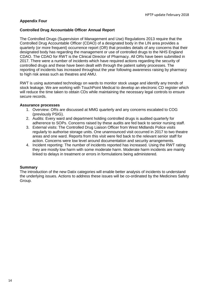#### **Appendix Four**

#### **Controlled Drug Accountable Officer Annual Report**

The Controlled Drugs (Supervision of Management and Use) Regulations 2013 require that the Controlled Drug Accountable Officer (CDAO) of a designated body in the LIN area provides a quarterly (or more frequent) occurrence report (OR) that provides details of any concerns that their designated body has regarding the management or use of controlled drugs to the NHS England CDAO. The CDAO for RWT is the Clinical Director of Pharmacy. All ORs have been submitted in 2017. There were a number of incidents which have required actions regarding the security of controlled drugs and these have been dealt with through the patient safety processes. The reporting of incidents has increased throughout the year following awareness raising by pharmacy to high risk areas such as theatres and AMU.

RWT is using automated technology on wards to monitor stock usage and identify any trends of stock leakage. We are working with TouchPoint Medical to develop an electronic CD register which will reduce the time taken to obtain CDs while maintaining the necessary legal controls to ensure secure records.

#### **Assurance processes**

- 1. Overview: ORs are discussed at MMG quarterly and any concerns escalated to COG (previously PSIG).
- 2. Audits: Every ward and department holding controlled drugs is audited quarterly for adherence to SOPs. Concerns raised by these audits are fed back to senior nursing staff.
- 3. External visits: The Controlled Drug Liaison Officer from West Midlands Police visits regularly to authorise storage units. One unannounced visit occurred in 2017 to two theatre areas and one ward. Reports from this visit were fed back to the relevant senior staff for action. Concerns were low level around documentation and security arrangements.
- 4. Incident reporting: The number of incidents reported has increased. Using the RWT rating they are mostly low harm with some moderate harm. Moderate harm incidents are mainly linked to delays in treatment or errors in formulations being administered.

#### **Summary**

The introduction of the new Datix categories will enable better analysis of incidents to understand the underlying issues. Actions to address these issues will be co-ordinated by the Medicines Safety Group.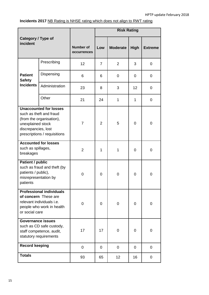# **Incidents 2017** NB Rating is NHSE rating which does not align to RWT rating

| Category / Type of<br>incident                                                                                                                                   |                |                                        | <b>Risk Rating</b> |                 |                |                |  |
|------------------------------------------------------------------------------------------------------------------------------------------------------------------|----------------|----------------------------------------|--------------------|-----------------|----------------|----------------|--|
|                                                                                                                                                                  |                | <b>Number of</b><br><b>occurrences</b> | Low                | <b>Moderate</b> | <b>High</b>    | <b>Extreme</b> |  |
|                                                                                                                                                                  | Prescribing    | 12                                     | $\overline{7}$     | $\overline{2}$  | 3              | 0              |  |
| <b>Patient</b><br><b>Safety</b>                                                                                                                                  | Dispensing     | 6                                      | 6                  | 0               | 0              | 0              |  |
| <b>Incidents</b>                                                                                                                                                 | Administration | 23                                     | 8                  | 3               | 12             | 0              |  |
|                                                                                                                                                                  | Other          | 21                                     | 24                 | 1               | 1              | 0              |  |
| <b>Unaccounted for losses</b><br>such as theft and fraud<br>(from the organisation),<br>unexplained stock<br>discrepancies, lost<br>prescriptions / requisitions |                | $\overline{7}$                         | $\overline{2}$     | 5               | 0              | 0              |  |
| <b>Accounted for losses</b><br>such as spillages,<br>breakages                                                                                                   |                | 2                                      | 1                  | 1               | 0              | 0              |  |
| <b>Patient / public</b><br>such as fraud and theft (by<br>patients / public),<br>misrepresentation by<br>patients                                                |                | 0                                      | 0                  | 0               | 0              | 0              |  |
| <b>Professional individuals</b><br>of concern These are<br>relevant individuals i.e.<br>people who work in health<br>or social care                              |                | 0                                      | 0                  | 0               | $\overline{0}$ | 0              |  |
| <b>Governance issues</b><br>such as CD safe custody,<br>staff competence, audit,<br>statutory requirements                                                       |                | 17                                     | 17                 | 0               | 0              | 0              |  |
| <b>Record keeping</b>                                                                                                                                            |                | 0                                      | 0                  | 0               | $\overline{0}$ | 0              |  |
| <b>Totals</b>                                                                                                                                                    |                | 93                                     | 65                 | 12              | 16             | 0              |  |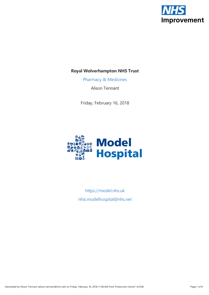

# **Royal Wolverhampton NHS Trust**

Pharmacy & [Medicines](https://model.nhs.uk/home/dashboard?dashboardID=9508d334-2982-4f28-9c08-f3651abbdc47)

Alison Tennant

Friday, February 16, 2018



<https://model.nhs.uk> [nhsi.modelhospital@nhs.net](mailto:nhsi.modelhospital@nhs.net)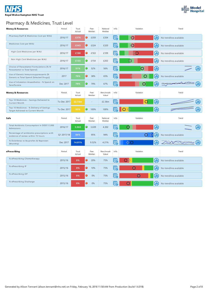



# Pharmacy & Medicines, Trust Level

| <b>Money &amp; Resources</b>                                                       | Period      | Trust<br>Actual | Peer<br>Median    | National<br>Median | Info | Variation                    | Trend                  |
|------------------------------------------------------------------------------------|-------------|-----------------|-------------------|--------------------|------|------------------------------|------------------------|
| Pharmacy Staff & Medicines Cost per WAU                                            | 2016/17     | £376            | $\bullet$<br>£359 | £354               |      | ⊕<br>$\mathbf O$             | No trendline available |
| Medicines Cost per WAU                                                             | 2016/17     | £343            | £324<br>0         | £320               |      | $\overline{O}$<br>Œ          | No trendline available |
| High Cost Medicines per WAU                                                        | 2016/17     | £188            | 0<br>£163         | £109               |      | Œ                            | No trendline available |
| Non High Cost Medicines per WAU                                                    | 2016/17     | £155            | 0<br>£154         | £202               |      | ⊕                            | No trendline available |
| Choice of Paracetamol Formulations [% IV<br>Paracetamol vs Total Spend]            | 2016/17     | 51%             | 52%<br>О          | 56%                |      | $\overline{\mathbb{O}}$<br>Œ | ⊕                      |
| Use of Generic Immunosuppressants [%<br>Generic vs Total Spend (Selected Drugs)]   | 2017        | 76%             | $\bullet$<br>38%  | 65%                |      |                              | No trendline available |
| Use of Inhalation Anaesthetics - % Spend on<br>Sevoflurane                         | Dec 2017    | 78%             | 0<br>79%          | 67%                |      | $\circ$                      |                        |
| <b>Money &amp; Resources</b>                                                       | Period      | Trust<br>Actual | Peer<br>Median    | Benchmark<br>Value | Info | Variation                    | Trend                  |
| Top 10 Medicines - Savings Delivered to<br>Current Month                           | To Dec 2017 | £2.16m          |                   | £2.36m             |      | O<br>Œ                       |                        |
| Top 10 Medicines - % Delivery of Savings<br>Target Achieved to Current Month       | To Dec 2017 | 92%             | 100%<br>0         | 100%               |      | $\bigcirc$                   |                        |
| Safe                                                                               | Period      | Trust<br>Actual | Peer<br>Median    | National<br>Median | Info | Variation                    | Trend                  |
| Total Antibiotic Consumption in DDD*/1,000<br>Admissions                           | 2016/17     | 3,563           | ۰<br>3,639        | 4,302              |      | ⊕<br>O                       | ⊕                      |
| Percentage of antibiotics prescriptions with<br>evidence of review within 72 hours | Q1 2017/18  | 84%             | 95%               | 94%                |      | Œ                            | No trendline available |
| % Diclofenac vs Ibuprofen & Naproxen<br>(Monthly)                                  | Dec 2017    | 14.01%          | 9.52%             | 4.21%              |      |                              |                        |
| ePrescribing                                                                       | Period      | Trust<br>Actual | Peer<br>Median    | Benchmark<br>Value | Info | Variation                    | Trend                  |
| % ePrescribing Chemotherapy                                                        | 2015/16     | 0%              | 0<br>20%          | 75%                |      | Œ                            | No trendline available |
| % ePrescribing IP                                                                  | 2015/16     | 0%              | 0<br>10%          | 75%                |      | Œ                            | No trendline available |
| % ePrescribing OP                                                                  | 2015/16     | 0%              | Ο<br>0%           | 75%                |      | Œ<br>O                       | No trendline available |
| % ePrescribing Discharge                                                           | 2015/16     | 0%              | 0%<br>◠           | 75%                |      | GD)<br>$\Omega$              | No trendline available |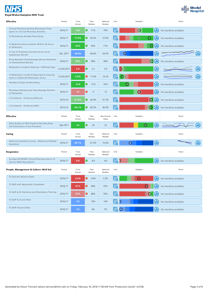

| Effective                                                                           | Period     | Trust<br>Actual | Peer<br>Median     | National<br>Median | Info | Variation             | Trend                  |
|-------------------------------------------------------------------------------------|------------|-----------------|--------------------|--------------------|------|-----------------------|------------------------|
| Clinical Pharmacy Activity [Pharmacist Time<br>Spent on Clinical Pharmacy Activitie | 2016/17    | 72%             | 0<br>71%           | 70%                | F    | $\circ$<br>⊕          | No trendline available |
| % Pharmacists Actively Prescribing                                                  | 2016/17    | 77.0%           | 0<br>50.5%         | 27.0%              |      | Œ                     | No trendline available |
| % Medicines Reconciliation Within 24 Hours<br>of Admission                          | 2016/17    | 93%             | 0<br>83%           | 71%                | 歸    | Gi)                   | No trendline available |
| % Use of Summary Care Record (or Local<br>System) per Month                         | Dec 2017   | 48.0%           | 48.4%              | 64.5%              |      | ⊕<br>$\mathbf \Omega$ | Œ                      |
| Dose-Banded Chemotherapy [Doses Delivered<br>as Standardised Bands]                 | 2016/17    | 95%             | О<br>90%           | 90%                |      | $\overline{O}$<br>⊕   | No trendline available |
| Medication Incidents Rate per 1,000 bed days                                        | 31/03/2017 | 2.9             | 0<br>5.5           | 3.9                |      | Œ<br>$\mathbf 0$<br>♦ | ⊕                      |
| % Medication Incidents Reported as Causing<br>Harm or Death/All Medication Errors   | 31/03/2017 | 5.9%            | $\bullet$<br>11.9% | 10.3%              |      | Œ                     | ⋒                      |
| Number of Days Stockholding                                                         | 2016/17    | 14.0            | 0<br>15.0          | 20.0               |      | ⊕                     | No trendline available |
| Pharmacy Deliveries per Day [Average Number<br>of Deliveries]                       | 2016/17    | 16              | $\bullet$<br>17    | 15                 |      | Φ<br>O                | No trendline available |
| e-Commerce - Ordering (Alliance)                                                    | 2015/16    | 91.8%           | 0.<br>92.9%        | 91.2%              | 蜃    | O(1)                  | No trendline available |
| e-Commerce - Ordering (AAH)                                                         | 2015/16    | 90.1%           | 0<br>85.5%         | 82.0%              | 歸    | $\mathbb{O}$<br>6D    | No trendline available |
| <b>Effective</b>                                                                    | Period     | Trust<br>Actual | Peer<br>Median     | Benchmark<br>Value | Info | Variation             | Trend                  |
| Data Quality of NHS England Monthly Data<br>Set Submissions From Providers          | Sep 2017   | 24              | O<br>24            | 23                 | 昂    | ⊕<br>$\mathbf{\circ}$ |                        |
| Caring                                                                              | Period     | Trust<br>Actual | Peer<br>Median     | National<br>Median | Info | Variation             | Trend                  |
| National Inpatients Survey - Medicines Related<br>Questions                         | 2016/17    | 69.7%           | 67.3%              | 72.0%              |      | Œ                     |                        |
| Responsive                                                                          | Period     | Trust<br>Actual | Peer<br>Median     | National<br>Median | Info | Variation             | Trend                  |
| Sunday ON WARD Clinical Pharmacy Hours of<br>Service (MAU/Equivalent)               | 2016/17    | 0.0             | O<br>4.0           | 4.0                | 5    | ⊕<br>D                | No trendline available |
| People, Management & Culture: Well-led                                              | Period     | Trust<br>Actual | Peer<br>Median     | National<br>Median | Info | Variation             | Trend                  |
| % Sickness Absence Rate                                                             | 2016/17    | 4.6%            | 0<br>3.9%          | 3.2%               | Ľó   | УO<br>60              | No trendline available |
| % Staff with Appraisals Completed                                                   | 2016/17    | 81%             | $\bullet$<br>84%   | 93%                | q    | ⊕                     | No trendline available |
| % Staff with Statutory and Mandatory Training                                       | 2016/17    | 93%             | $\bullet$<br>86%   | 93%                | q    | $\mathbf O$<br>GD)    | No trendline available |
| % Staff Turnover Rate                                                               | 2016/17    | $1\%$           | 10%                | 14%                |      | $\bigoplus$           | No trendline available |
| % Staff Vacancy Rate                                                                | 2016/17    | $1\%$           | 4%                 | $7\%$              |      | GD)                   | No trendline available |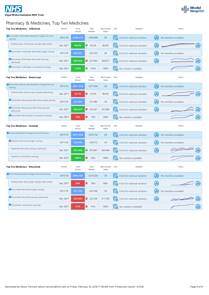



# Pharmacy & Medicines, Top Ten Medicines

| Top Ten Medicines - Infliximab                         | Period   | Trust<br>Actual | Peer<br>Median    | Benchmark<br>Value | Info | Variation                    |     | Trend                  |   |
|--------------------------------------------------------|----------|-----------------|-------------------|--------------------|------|------------------------------|-----|------------------------|---|
| Biosimilar Infliximab Baseline Target Annual<br>Saving | 2017/18  | £768.21k        | £303.89k          | £0                 |      | Click for national variation | Œ   | No trendline available |   |
| % Biosimilar Infliximab Uptake (Monthly)               | Dec 2017 | 86.6%           | 0<br>85.2%        | 80.0%              |      | Click for national variation | Œ   |                        | Φ |
| Biosimilar Infliximab Monthly target saving            | 2017/18  | £64,017         | £25,324           | £0                 |      | Click for national variation | ⊕   | No trendline available |   |
| Biosimilar Infliximab Monthly savings<br>delivered     | Dec 2017 | £83,016         | $\bullet$ £37,956 | £64,017            |      | Click for national variation | ⊕   |                        | ⊕ |
| Biosimilar Infliximab cumulative savings               | Dec 2017 | 152%            | 152%              | 100%               | lF,  | No variation available       |     |                        |   |
| Top Ten Medicines - Etanercept                         | Period   | Trust<br>Actual | Peer<br>Median    | Benchmark<br>Value | Info | Variation                    |     | Trend                  |   |
| Biosimilar Etanercept Baseline Target Annual<br>Saving | 2017/18  | £621.63k        | £377.83k          | £0                 |      | Click for national variation | Gi) | No trendline available |   |
| % Biosimilar Etanercept Uptake (Monthly)               | Dec 2017 | 55.7%           | 41.6%             | 80.0%              |      | Click for national variation | Œ   |                        | ⊕ |
| Biosimilar Etanercept Monthly target saving            | 2017/18  | £51,802         | £31,486           | £0                 |      | Click for national variation | Œ   | No trendline available |   |
| Biosimilar Etanercept Monthly savings<br>delivered     | Dec 2017 | £56,557         | $\bullet$ £33,457 | £51,802            |      | Click for national variation | ⊕   |                        | ⊕ |
| Biosimilar Etanercept cumulative savings               | Dec 2017 | 72%             | 75%               | 100%               |      | No variation available       |     |                        |   |
| Top Ten Medicines - Imatinib                           | Period   | Trust<br>Actual | Peer<br>Median    | Benchmark<br>Value | Info | Variation                    |     | Trend                  |   |
| Imatinib Baseline Target Annual Saving                 | 2017/18  | £521.35k        | £474.15k          | £0                 |      | Click for national variation | Œ   | No trendline available |   |
| Imatinib Monthly target saving                         | 2017/18  | £43.446         | £39,513           | £0                 |      | Click for national variation | Œ   | No trendline available |   |
| Imatinib Monthly savings delivered                     | Dec 2017 | £51,642         | £47,807           | £43,446            | 17   | Click for national variation | ⊕   |                        |   |
| Imatinib cumulative savings                            | Dec 2017 | 105%            | 95%               | 100%               |      | No variation available       |     |                        |   |
| Top Ten Medicines - Rituximab                          | Period   | Trust<br>Actual | Peer<br>Median    | Benchmark<br>Value | Info | Variation                    |     | Trend                  |   |
| Rituximab Baseline Target Annual Saving                | 2017/18  | £860.46k        | £275.25k          | £0                 |      | Click for national variation | ⊕   | No trendline available |   |
| % Biosimilar Rituximab Uptake (Monthly)                | Dec 2017 | 24%             | 26%               | 80%                |      | Click for national variation | ⊕   |                        |   |
| Rituximab Monthly target saving                        | 2017/18  | £71,705         | £22,938           | £0                 |      | Click for national variation | Œ   | No trendline available |   |
| Rituximab Monthly savings delivered                    | Dec 2017 | £37,035         | £22,338           | £71,705            |      | Click for national variation | ⊕   |                        |   |
| Rituximab cumulative savings                           | Dec 2017 | 41%             | 41%               | 100%               |      | No variation available       |     |                        | ◍ |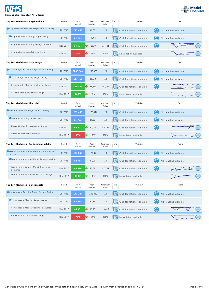| r.<br>₹. |  |
|----------|--|
|          |  |

#### **Royal Wolverhampton NHS Trust**



| Top Ten Medicines - Valganciclovir                    | Period   | Trust<br>Actual | Peer<br>Median | Benchmark<br>Value | Info | Variation                    |   | Trend                  |    |
|-------------------------------------------------------|----------|-----------------|----------------|--------------------|------|------------------------------|---|------------------------|----|
| Valganciclovir Baseline Target Annual Saving          | 2017/18  | £13,488         | £9,039         | £0                 | 序    | Click for national variation | ⊕ | No trendline available |    |
| Valganciclovir Monthly target saving                  | 2017/18  | E1,124          | £753           | £0                 |      | Click for national variation | ⊕ | No trendline available |    |
| Valganciclovir Monthly savings delivered              | Dec 2017 | £1,124          | 0<br>£630      | £1,124             | 帰    | Click for national variation | ⊕ |                        |    |
| Valganciclovir cumulative savings                     | Dec 2017 | 74%             | 39%<br>0       | 100%               | 歸    | No variation available       |   |                        |    |
| Top Ten Medicines - Caspofungin                       | Period   | Trust<br>Actual | Peer<br>Median | Benchmark<br>Value | Info | Variation                    |   | Trend                  |    |
| Caspofungin Baseline Target Annual Saving             | 2017/18  | £209.58k        | £62,986        | £0                 |      | Click for national variation | Œ | No trendline available |    |
| Caspofungin Monthly target saving                     | 2017/18  | £17,465         | £5,249         | £0                 | 歸    | Click for national variation | ⊕ | No trendline available |    |
| Caspofungin Monthly savings delivered                 | Dec 2017 | £19,349         | 0<br>£6,565    | £17,465            | 唇    | Click for national variation | ⊕ |                        |    |
| Caspofungin cumulative savings                        | Dec 2017 | 106%            | 12%<br>0       | 100%               |      | No variation available       |   |                        | dD |
| Top Ten Medicines - Linezolid                         | Period   | Trust<br>Actual | Peer<br>Median | Benchmark<br>Value | Info | Variation                    |   | Trend                  |    |
| Clinezolid Baseline Target Annual Saving              | 2017/18  | £69,499         | £78,444        | £0                 |      | Click for national variation | ⊕ | No trendline available |    |
| Linezolid Monthly target saving                       | 2017/18  | £5,792          | £6,537         | £0                 |      | Click for national variation | − | No trendline available |    |
| Linezolid Monthly savings delivered                   | Dec 2017 | £6,401          | £7,058<br>0.   | £5,792             | l.   | Click for national variation | ⊕ |                        |    |
| Linezolid cumulative savings                          | Dec 2017 | 98%             | 100%           | 100%               | 帰    | No variation available       |   |                        |    |
| Top Ten Medicines - Prednisolone soluble              | Period   | Trust<br>Actual | Peer<br>Median | Benchmark<br>Value | Info | Variation                    |   | Trend                  |    |
| Prednisolone soluble Baseline Target Annual<br>Saving | 2017/18  | £33,054         | £23,895        | £0                 |      | Click for national variation | ⊕ | No trendline available |    |
| Prednisolone soluble Monthly target saving            | 2017/18  | £2,754          | £1,991         | £0                 | 喝    | Click for national variation | ⊕ | No trendline available |    |
| Prednisolone soluble Monthly savings<br>delivered     | Dec 2017 | £4,894          | £2,861         | £2,754             | lF.  | Click for national variation | Φ |                        |    |
| Prednisolone soluble cumulative savings               | Dec 2017 | 134%            | 133%           | 100%               | 5    | No variation available       |   |                        |    |
| Top Ten Medicines - Voriconazole                      | Period   | Trust<br>Actual | Peer<br>Median | Benchmark<br>Value | Info | Variation                    |   | Trend                  |    |
| Voriconazole Baseline Target Annual Saving            | 2017/18  | £43,381         | £35,819        | £0                 |      | Click for national variation | ⊕ | No trendline available |    |
| Voriconazole Monthly target saving                    | 2017/18  | £3,615          | £2,985         | £0                 |      | Click for national variation | ⊕ | No trendline available |    |
| Voriconazole Monthly savings delivered                | Dec 2017 | £4,031          | $C$ £3,279     | £3,615             |      | Click for national variation | ⊕ |                        |    |
| Voriconazole cumulative savings                       | Dec 2017 | 70%             | 99%<br>0       | 100%               |      | No variation available       |   |                        |    |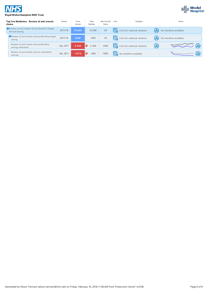



#### **Royal Wolverhampton NHS Trust**

|  | Top Ten Medicines - Review of anti-emetic<br>choice           | Period   | Trust<br>Actual | Peer<br>Median  | Benchmark<br>Value | Info | Variation                    | Trend                  |
|--|---------------------------------------------------------------|----------|-----------------|-----------------|--------------------|------|------------------------------|------------------------|
|  | Review of anti-emetic choice Baseline Target<br>Annual Saving | 2017/18  | £5,344          | £7,260          | £0                 |      | Click for national variation | No trendline available |
|  | Review of anti-emetic choice Monthly target<br>saving         | 2017/18  | £445            | £605            | £0                 |      | Click for national variation | No trendline available |
|  | Review of anti-emetic choice Monthly<br>savings delivered     | Dec 2017 | $£-643$         | $\bullet$ £-456 | £445               | 序    | Click for national variation |                        |
|  | Review of anti-emetic choice cumulative<br>savings            | Dec 2017 | $-151%$         | $-98%$          | 100%               |      | No variation available       |                        |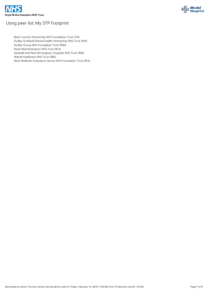



# Using peer list: My STP Footprint

Black Country Partnership NHS Foundation Trust (TAJ) Dudley & Walsall Mental Health Partnership NHSTrust (RYK) Dudley Group NHS Foundation Trust (RNA) Royal Wolverhampton NHSTrust (RL4) Sandwell and West Birmingham Hospitals NHS Trust (RXK) Walsall Healthcare NHS Trust (RBK)

West Midlands Ambulance Service NHS Foundation Trust (RYA)